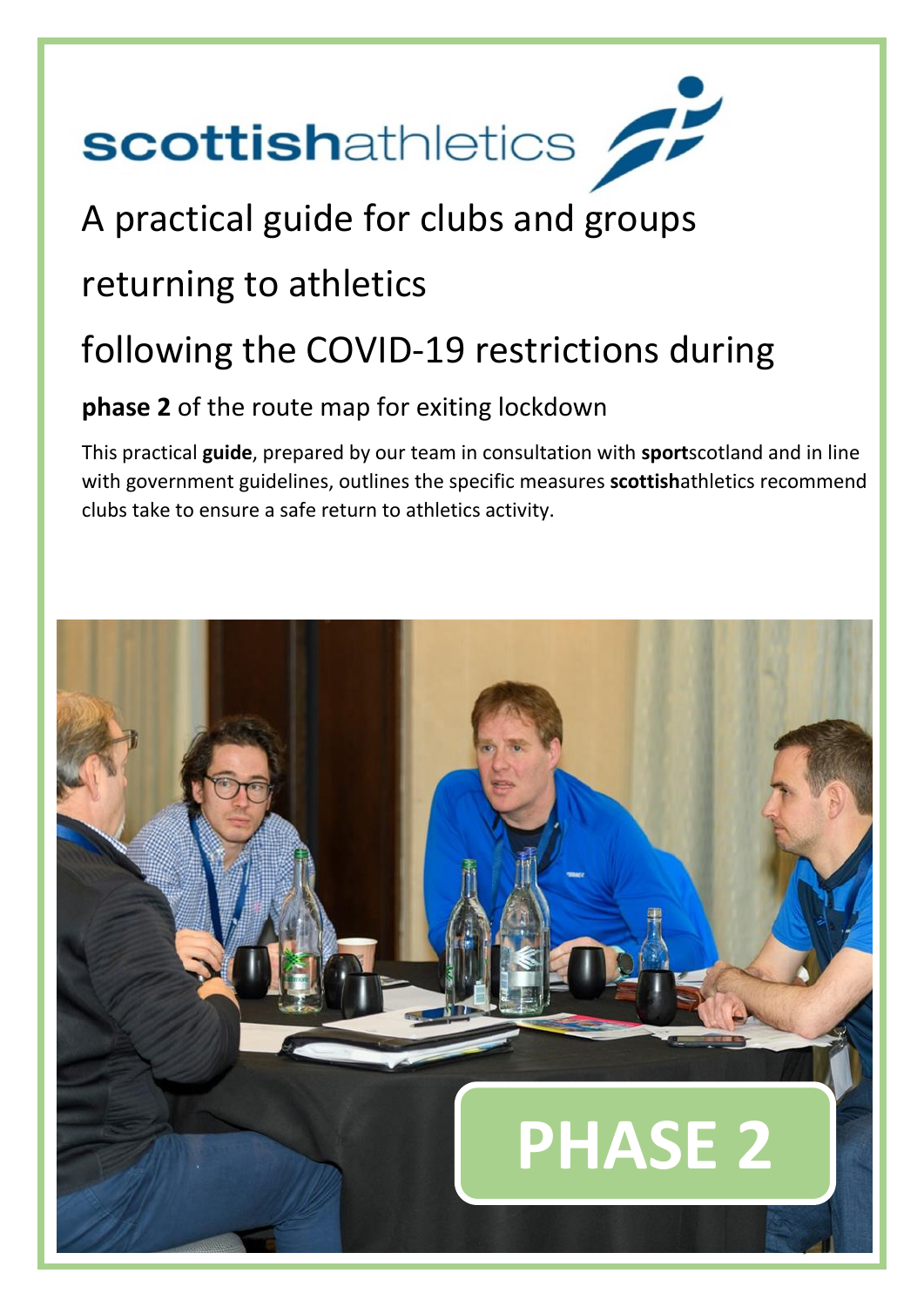

# A practical guide for clubs and groups

# returning to athletics

# following the COVID-19 restrictions during

# **phase 2** of the route map for exiting lockdown

This practical **guide**, prepared by our team in consultation with **sport**scotland and in line with government guidelines, outlines the specific measures **scottish**athletics recommend clubs take to ensure a safe return to athletics activity.

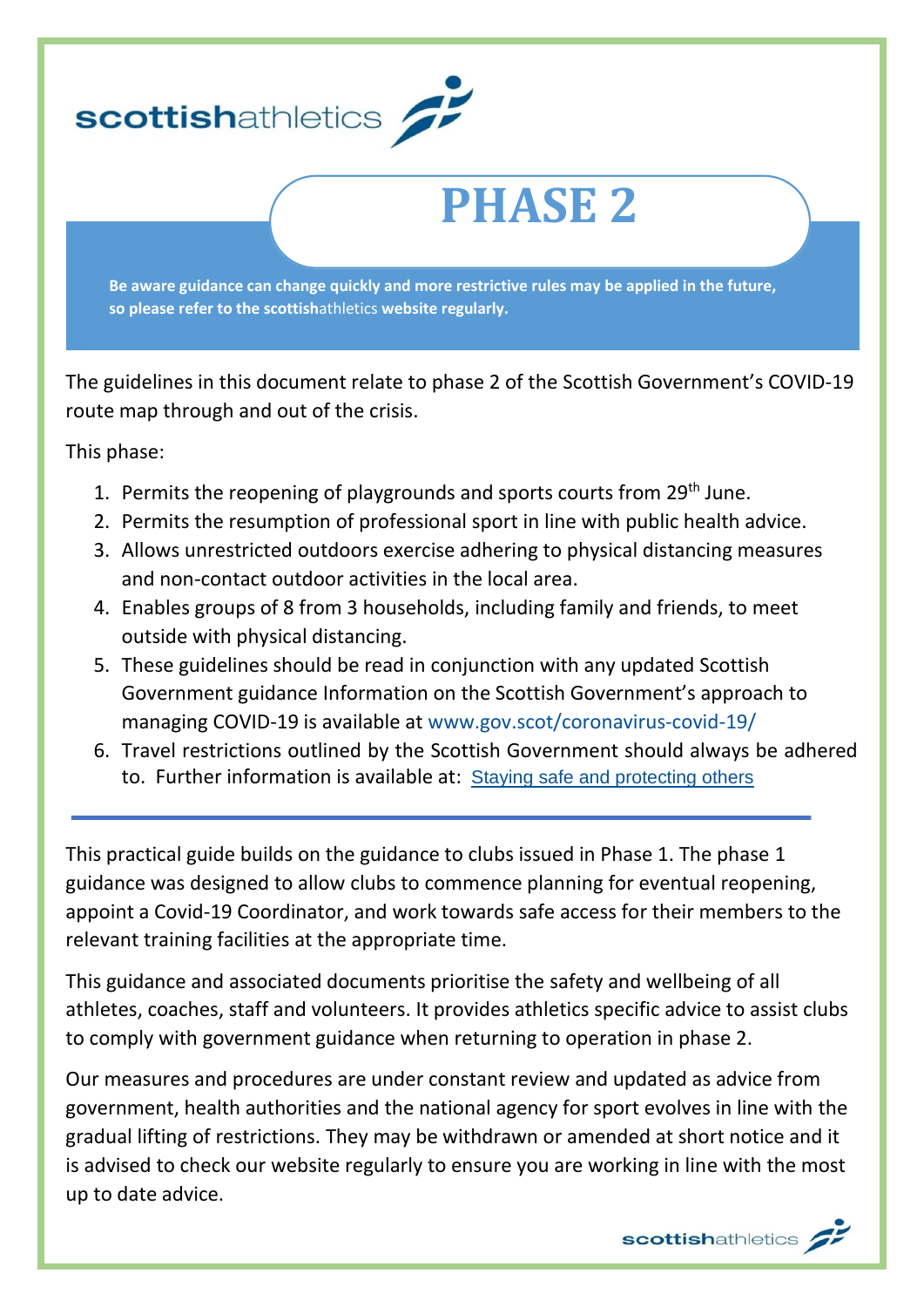

The guidelines in this document relate to phase 2 of the Scottish Government's COVID-19 route map through and out of the crisis.

This phase:

- 1. Permits the reopening of playgrounds and sports courts from 29<sup>th</sup> June.
- 2. Permits the resumption of professional sport in line with public health advice.
- 3. Allows unrestricted outdoors exercise adhering to physical distancing measures and non-contact outdoor activities in the local area.
- 4. Enables groups of 8 from 3 households, including family and friends, to meet outside with physical distancing.
- 5. These guidelines should be read in conjunction with any updated Scottish Government guidance Information on the Scottish Government's approach to managing COVID-19 is available at [www.gov.scot/coronavirus-covid-19/](http://www.gov.scot/coronavirus-covid-19/)
- 6. Travel restrictions outlined by the Scottish Government should always be adhered to. Further information is available at: [Staying safe and protecting others](http://www.gov.scot/publications/coronavirus-covid-19-phase-2-staying-safe-and-protecting-others/pages/meeting-others/)

This practical guide builds on the guidance to clubs issued in Phase 1. The phase 1 guidance was designed to allow clubs to commence planning for eventual reopening, appoint a Covid-19 Coordinator, and work towards safe access for their members to the relevant training facilities at the appropriate time.

This guidance and associated documents prioritise the safety and wellbeing of all athletes, coaches, staff and volunteers. It provides athletics specific advice to assist clubs to comply with government guidance when returning to operation in phase 2.

Our measures and procedures are under constant review and updated as advice from government, health authorities and the national agency for sport evolves in line with the gradual lifting of restrictions. They may be withdrawn or amended at short notice and it is advised to check our website regularly to ensure you are working in line with the most up to date advice.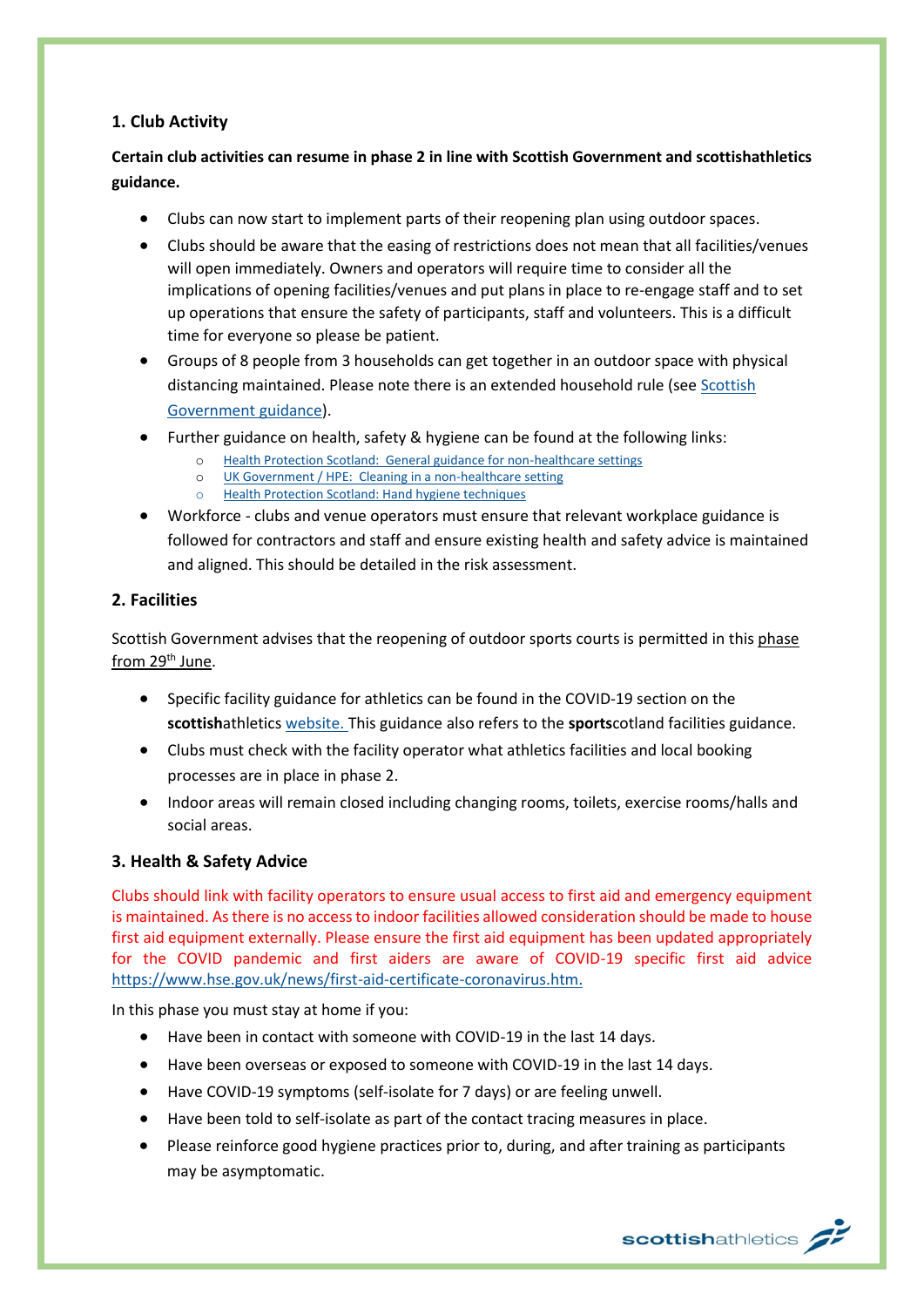### **1. Club Activity**

## **Certain club activities can resume in phase 2 in line with Scottish Government and scottishathletics guidance.**

- Clubs can now start to implement parts of their reopening plan using outdoor spaces.
- Clubs should be aware that the easing of restrictions does not mean that all facilities/venues will open immediately. Owners and operators will require time to consider all the implications of opening facilities/venues and put plans in place to re-engage staff and to set up operations that ensure the safety of participants, staff and volunteers. This is a difficult time for everyone so please be patient.
- Groups of 8 people from 3 households can get together in an outdoor space with physical distancing maintained. Please note there is an extended household rule (se[e Scottish](https://www.gov.scot/publications/coronavirus-covid-19-phase-2-staying-safe-and-protecting-others/pages/meeting-others/)  [Government guidance\)](https://www.gov.scot/publications/coronavirus-covid-19-phase-2-staying-safe-and-protecting-others/pages/meeting-others/).
- Further guidance on health, safety & hygiene can be found at the following links:
	- o [Health Protection Scotland: General guidance for non-healthcare settings](http://www.hps.scot.nhs.uk/web-resources-container/covid-19-guidance-for-non-healthcare-settings/)
	- o [UK Government / HPE: Cleaning in a non-healthcare setting](http://www.gov.uk/government/publications/covid-19-decontamination-in-non-healthcare-settings/covid-19-decontamination-in-non-healthcare-settings)
	- o [Health Protection Scotland: Hand hygiene techniques](http://www.hps.scot.nhs.uk/a-to-z-of-topics/hand-hygiene/)
- Workforce clubs and venue operators must ensure that relevant workplace guidance is followed for contractors and staff and ensure existing health and safety advice is maintained and aligned. This should be detailed in the risk assessment.

#### **2. Facilities**

Scottish Government advises that the reopening of outdoor sports courts is permitted in this phase from 29<sup>th</sup> June.

- Specific facility guidance for athletics can be found in the COVID-19 section on the **scottish**athletics [website.](https://www.scottishathletics.org.uk/clubs/club-support/coronavirus/) This guidance also refers to the **sports**cotland facilities guidance.
- Clubs must check with the facility operator what athletics facilities and local booking processes are in place in phase 2.
- Indoor areas will remain closed including changing rooms, toilets, exercise rooms/halls and social areas.

#### **3. Health & Safety Advice**

Clubs should link with facility operators to ensure usual access to first aid and emergency equipment is maintained. As there is no access to indoor facilities allowed consideration should be made to house first aid equipment externally. Please ensure the first aid equipment has been updated appropriately for the COVID pandemic and first aiders are aware of COVID-19 specific first aid advice [https://www.hse.gov.uk/news/first-aid-certificate-coronavirus.htm.](https://www.hse.gov.uk/news/first-aid-certificate-coronavirus.htm)

In this phase you must stay at home if you:

- Have been in contact with someone with COVID-19 in the last 14 days.
- Have been overseas or exposed to someone with COVID-19 in the last 14 days.
- Have COVID-19 symptoms (self-isolate for 7 days) or are feeling unwell.
- Have been told to self-isolate as part of the contact tracing measures in place.
- Please reinforce good hygiene practices prior to, during, and after training as participants may be asymptomatic.

scottishathletics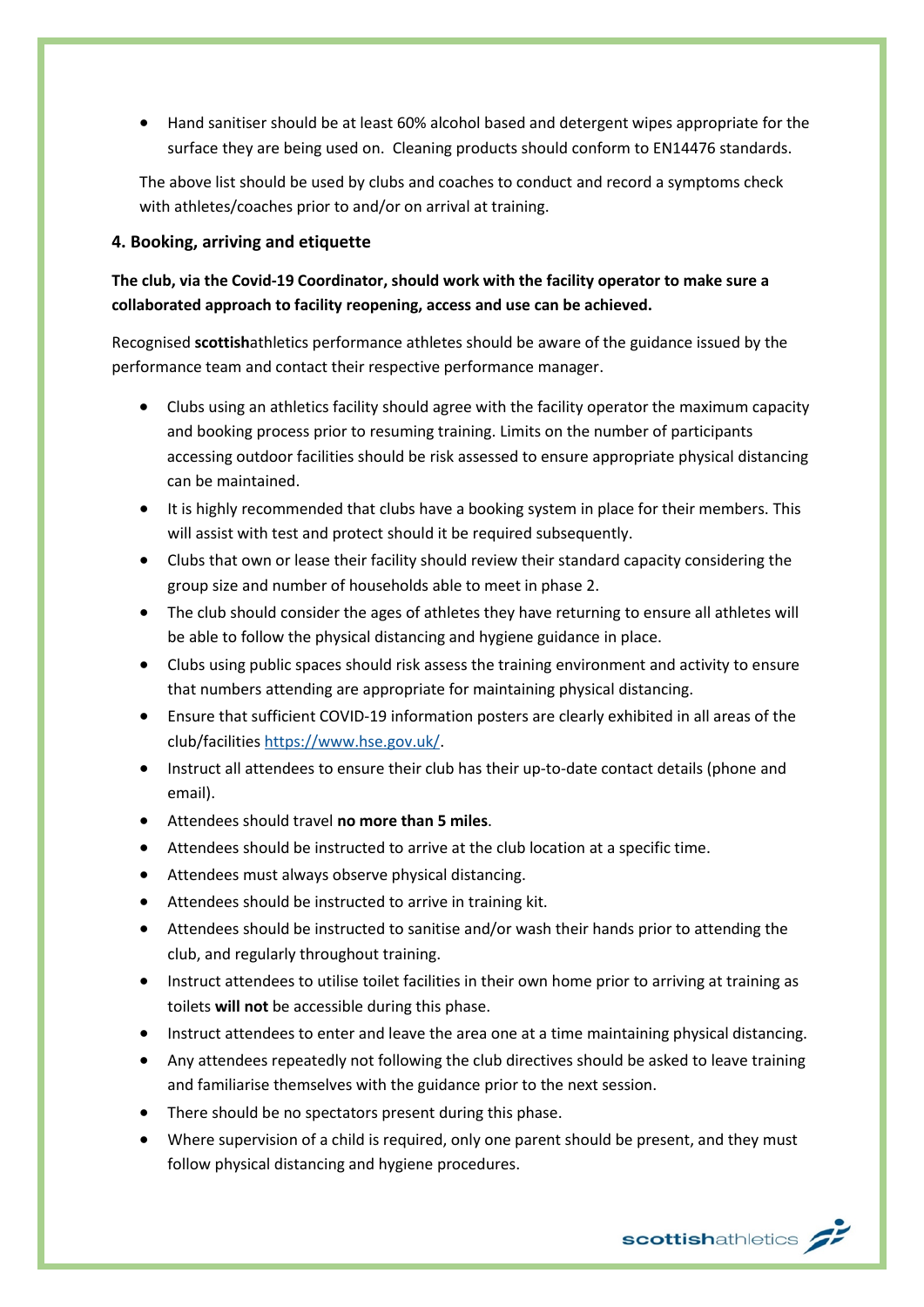• Hand sanitiser should be at least 60% alcohol based and detergent wipes appropriate for the surface they are being used on. Cleaning products should conform to EN14476 standards.

The above list should be used by clubs and coaches to conduct and record a symptoms check with athletes/coaches prior to and/or on arrival at training.

#### **4. Booking, arriving and etiquette**

### **The club, via the Covid-19 Coordinator, should work with the facility operator to make sure a collaborated approach to facility reopening, access and use can be achieved.**

Recognised **scottish**athletics performance athletes should be aware of the guidance issued by the performance team and contact their respective performance manager.

- Clubs using an athletics facility should agree with the facility operator the maximum capacity and booking process prior to resuming training. Limits on the number of participants accessing outdoor facilities should be risk assessed to ensure appropriate physical distancing can be maintained.
- It is highly recommended that clubs have a booking system in place for their members. This will assist with test and protect should it be required subsequently.
- Clubs that own or lease their facility should review their standard capacity considering the group size and number of households able to meet in phase 2.
- The club should consider the ages of athletes they have returning to ensure all athletes will be able to follow the physical distancing and hygiene guidance in place.
- Clubs using public spaces should risk assess the training environment and activity to ensure that numbers attending are appropriate for maintaining physical distancing.
- Ensure that sufficient COVID-19 information posters are clearly exhibited in all areas of the club/facilitie[s https://www.hse.gov.uk/.](https://www.hse.gov.uk/)
- Instruct all attendees to ensure their club has their up-to-date contact details (phone and email).
- Attendees should travel **no more than 5 miles**.
- Attendees should be instructed to arrive at the club location at a specific time.
- Attendees must always observe physical distancing.
- Attendees should be instructed to arrive in training kit.
- Attendees should be instructed to sanitise and/or wash their hands prior to attending the club, and regularly throughout training.
- Instruct attendees to utilise toilet facilities in their own home prior to arriving at training as toilets **will not** be accessible during this phase.
- Instruct attendees to enter and leave the area one at a time maintaining physical distancing.
- Any attendees repeatedly not following the club directives should be asked to leave training and familiarise themselves with the guidance prior to the next session.
- There should be no spectators present during this phase.
- Where supervision of a child is required, only one parent should be present, and they must follow physical distancing and hygiene procedures.

scottishathletics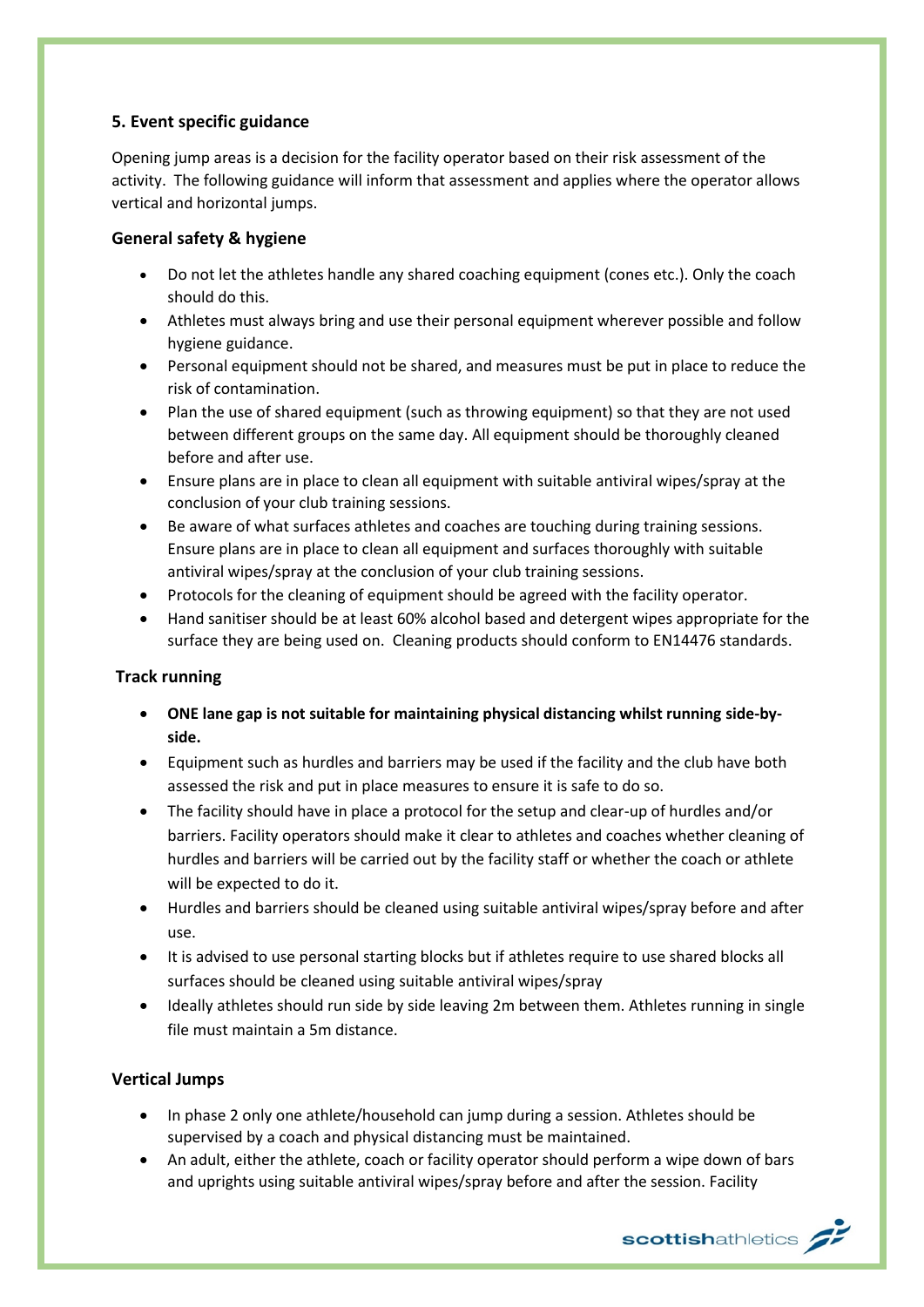#### **5. Event specific guidance**

Opening jump areas is a decision for the facility operator based on their risk assessment of the activity. The following guidance will inform that assessment and applies where the operator allows vertical and horizontal jumps.

#### **General safety & hygiene**

- Do not let the athletes handle any shared coaching equipment (cones etc.). Only the coach should do this.
- Athletes must always bring and use their personal equipment wherever possible and follow hygiene guidance.
- Personal equipment should not be shared, and measures must be put in place to reduce the risk of contamination.
- Plan the use of shared equipment (such as throwing equipment) so that they are not used between different groups on the same day. All equipment should be thoroughly cleaned before and after use.
- Ensure plans are in place to clean all equipment with suitable antiviral wipes/spray at the conclusion of your club training sessions.
- Be aware of what surfaces athletes and coaches are touching during training sessions. Ensure plans are in place to clean all equipment and surfaces thoroughly with suitable antiviral wipes/spray at the conclusion of your club training sessions.
- Protocols for the cleaning of equipment should be agreed with the facility operator.
- Hand sanitiser should be at least 60% alcohol based and detergent wipes appropriate for the surface they are being used on. Cleaning products should conform to EN14476 standards.

#### **Track running**

- **ONE lane gap is not suitable for maintaining physical distancing whilst running side-byside.**
- Equipment such as hurdles and barriers may be used if the facility and the club have both assessed the risk and put in place measures to ensure it is safe to do so.
- The facility should have in place a protocol for the setup and clear-up of hurdles and/or barriers. Facility operators should make it clear to athletes and coaches whether cleaning of hurdles and barriers will be carried out by the facility staff or whether the coach or athlete will be expected to do it.
- Hurdles and barriers should be cleaned using suitable antiviral wipes/spray before and after use.
- It is advised to use personal starting blocks but if athletes require to use shared blocks all surfaces should be cleaned using suitable antiviral wipes/spray
- Ideally athletes should run side by side leaving 2m between them. Athletes running in single file must maintain a 5m distance.

### **Vertical Jumps**

- In phase 2 only one athlete/household can jump during a session. Athletes should be supervised by a coach and physical distancing must be maintained.
- An adult, either the athlete, coach or facility operator should perform a wipe down of bars and uprights using suitable antiviral wipes/spray before and after the session. Facility

scottishathletics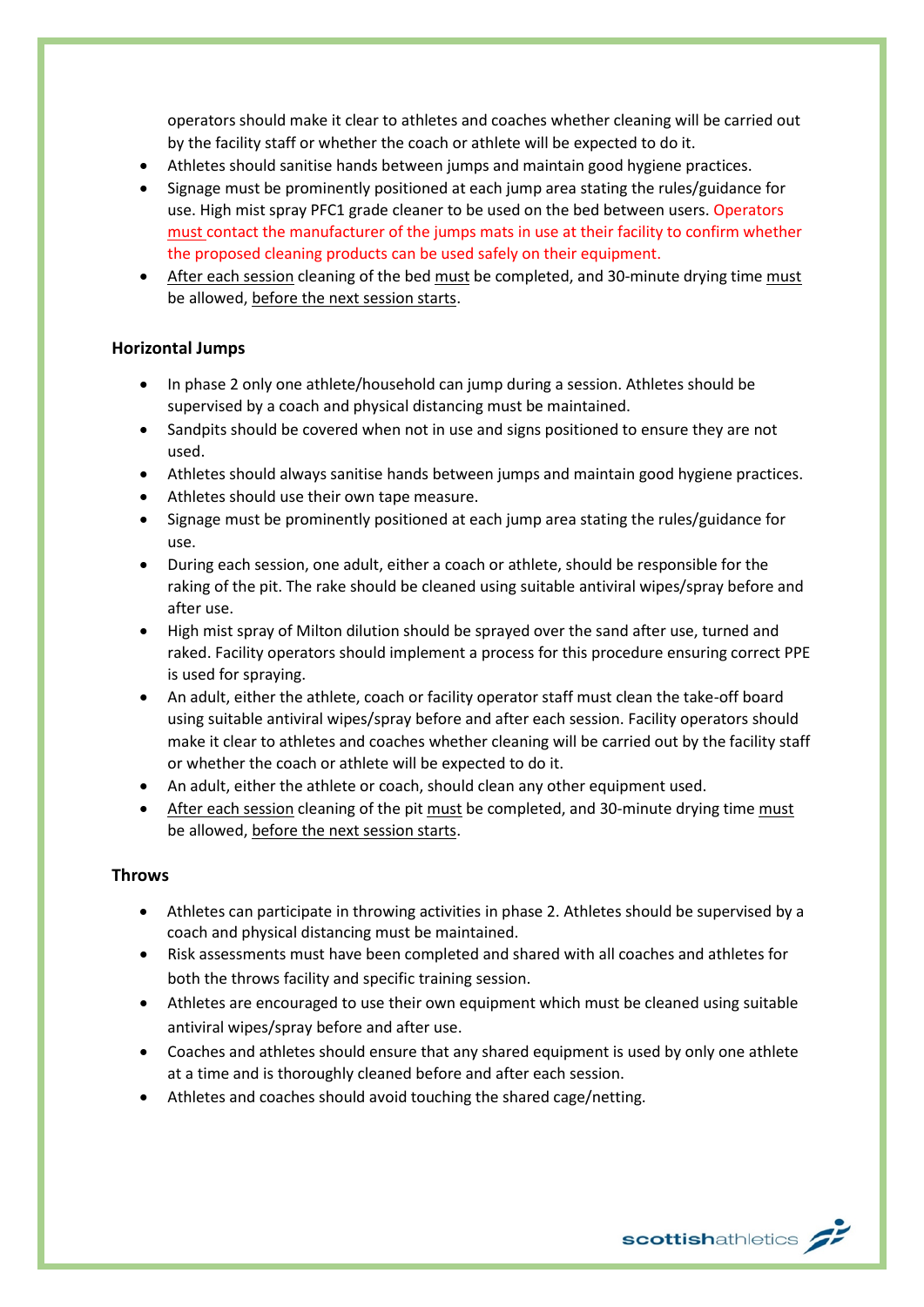operators should make it clear to athletes and coaches whether cleaning will be carried out by the facility staff or whether the coach or athlete will be expected to do it.

- Athletes should sanitise hands between jumps and maintain good hygiene practices.
- Signage must be prominently positioned at each jump area stating the rules/guidance for use. High mist spray PFC1 grade cleaner to be used on the bed between users. Operators must contact the manufacturer of the jumps mats in use at their facility to confirm whether the proposed cleaning products can be used safely on their equipment.
- After each session cleaning of the bed must be completed, and 30-minute drying time must be allowed, before the next session starts.

#### **Horizontal Jumps**

- In phase 2 only one athlete/household can jump during a session. Athletes should be supervised by a coach and physical distancing must be maintained.
- Sandpits should be covered when not in use and signs positioned to ensure they are not used.
- Athletes should always sanitise hands between jumps and maintain good hygiene practices.
- Athletes should use their own tape measure.
- Signage must be prominently positioned at each jump area stating the rules/guidance for use.
- During each session, one adult, either a coach or athlete, should be responsible for the raking of the pit. The rake should be cleaned using suitable antiviral wipes/spray before and after use.
- High mist spray of Milton dilution should be sprayed over the sand after use, turned and raked. Facility operators should implement a process for this procedure ensuring correct PPE is used for spraying.
- An adult, either the athlete, coach or facility operator staff must clean the take-off board using suitable antiviral wipes/spray before and after each session. Facility operators should make it clear to athletes and coaches whether cleaning will be carried out by the facility staff or whether the coach or athlete will be expected to do it.
- An adult, either the athlete or coach, should clean any other equipment used.
- After each session cleaning of the pit must be completed, and 30-minute drying time must be allowed, before the next session starts.

#### **Throws**

- Athletes can participate in throwing activities in phase 2. Athletes should be supervised by a coach and physical distancing must be maintained.
- Risk assessments must have been completed and shared with all coaches and athletes for both the throws facility and specific training session.
- Athletes are encouraged to use their own equipment which must be cleaned using suitable antiviral wipes/spray before and after use.
- Coaches and athletes should ensure that any shared equipment is used by only one athlete at a time and is thoroughly cleaned before and after each session.
- Athletes and coaches should avoid touching the shared cage/netting.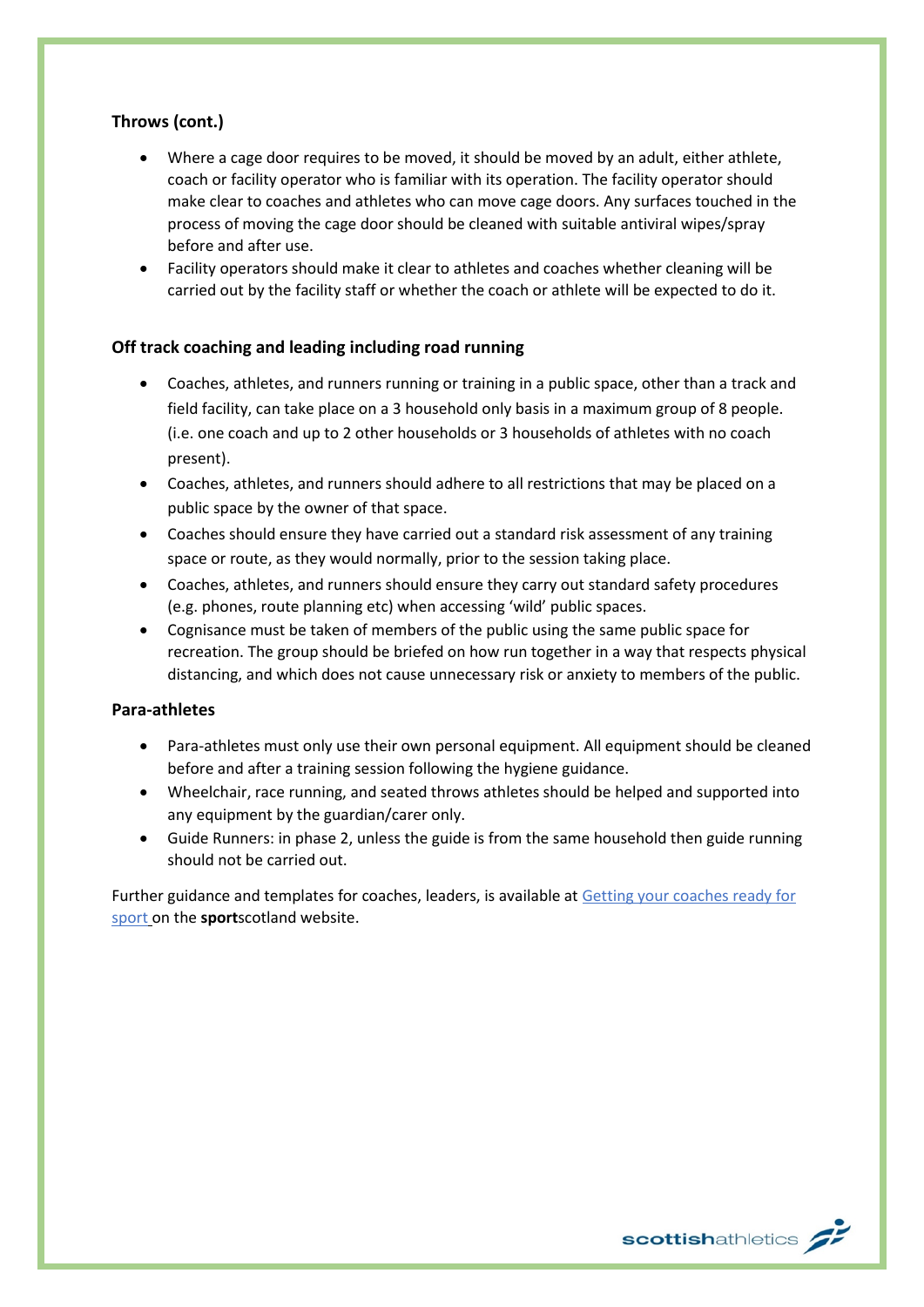### **Throws (cont.)**

- Where a cage door requires to be moved, it should be moved by an adult, either athlete, coach or facility operator who is familiar with its operation. The facility operator should make clear to coaches and athletes who can move cage doors. Any surfaces touched in the process of moving the cage door should be cleaned with suitable antiviral wipes/spray before and after use.
- Facility operators should make it clear to athletes and coaches whether cleaning will be carried out by the facility staff or whether the coach or athlete will be expected to do it.

#### **Off track coaching and leading including road running**

- Coaches, athletes, and runners running or training in a public space, other than a track and field facility, can take place on a 3 household only basis in a maximum group of 8 people. (i.e. one coach and up to 2 other households or 3 households of athletes with no coach present).
- Coaches, athletes, and runners should adhere to all restrictions that may be placed on a public space by the owner of that space.
- Coaches should ensure they have carried out a standard risk assessment of any training space or route, as they would normally, prior to the session taking place.
- Coaches, athletes, and runners should ensure they carry out standard safety procedures (e.g. phones, route planning etc) when accessing 'wild' public spaces.
- Cognisance must be taken of members of the public using the same public space for recreation. The group should be briefed on how run together in a way that respects physical distancing, and which does not cause unnecessary risk or anxiety to members of the public.

#### **Para-athletes**

- Para-athletes must only use their own personal equipment. All equipment should be cleaned before and after a training session following the hygiene guidance.
- Wheelchair, race running, and seated throws athletes should be helped and supported into any equipment by the guardian/carer only.
- Guide Runners: in phase 2, unless the guide is from the same household then guide running should not be carried out.

Further guidance and templates for coaches, leaders, is available at Getting your coaches ready for [sport](http://www.sportscotland.org.uk/covid-19/getting-your-coaches-ready-for-sport/) on the **sport**scotland website.